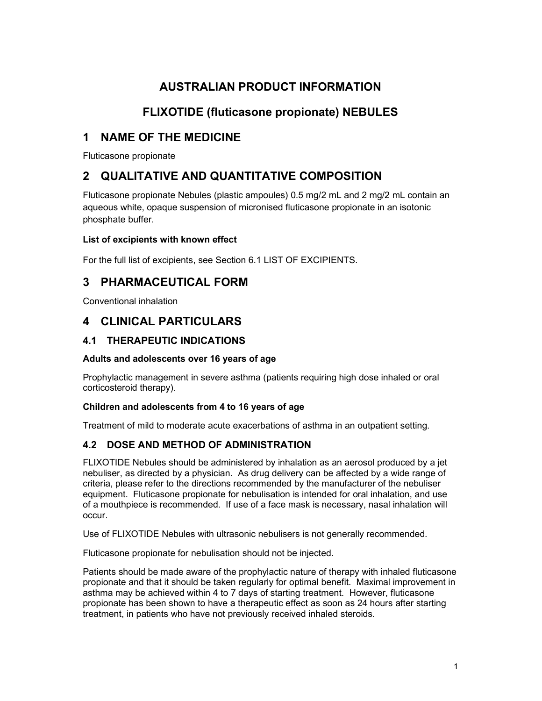# AUSTRALIAN PRODUCT INFORMATION

# FLIXOTIDE (fluticasone propionate) NEBULES

# 1 NAME OF THE MEDICINE

Fluticasone propionate

# 2 QUALITATIVE AND QUANTITATIVE COMPOSITION

Fluticasone propionate Nebules (plastic ampoules) 0.5 mg/2 mL and 2 mg/2 mL contain an aqueous white, opaque suspension of micronised fluticasone propionate in an isotonic phosphate buffer.

### List of excipients with known effect

For the full list of excipients, see Section 6.1 LIST OF EXCIPIENTS.

# 3 PHARMACEUTICAL FORM

Conventional inhalation

# 4 CLINICAL PARTICULARS

## 4.1 THERAPEUTIC INDICATIONS

### Adults and adolescents over 16 years of age

Prophylactic management in severe asthma (patients requiring high dose inhaled or oral corticosteroid therapy).

### Children and adolescents from 4 to 16 years of age

Treatment of mild to moderate acute exacerbations of asthma in an outpatient setting.

## 4.2 DOSE AND METHOD OF ADMINISTRATION

FLIXOTIDE Nebules should be administered by inhalation as an aerosol produced by a jet nebuliser, as directed by a physician. As drug delivery can be affected by a wide range of criteria, please refer to the directions recommended by the manufacturer of the nebuliser equipment. Fluticasone propionate for nebulisation is intended for oral inhalation, and use of a mouthpiece is recommended. If use of a face mask is necessary, nasal inhalation will occur.

Use of FLIXOTIDE Nebules with ultrasonic nebulisers is not generally recommended.

Fluticasone propionate for nebulisation should not be injected.

Patients should be made aware of the prophylactic nature of therapy with inhaled fluticasone propionate and that it should be taken regularly for optimal benefit. Maximal improvement in asthma may be achieved within 4 to 7 days of starting treatment. However, fluticasone propionate has been shown to have a therapeutic effect as soon as 24 hours after starting treatment, in patients who have not previously received inhaled steroids.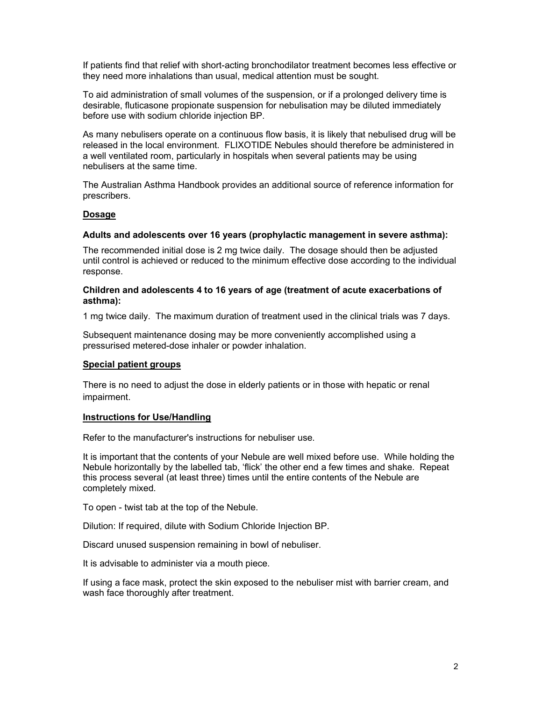If patients find that relief with short-acting bronchodilator treatment becomes less effective or they need more inhalations than usual, medical attention must be sought.

To aid administration of small volumes of the suspension, or if a prolonged delivery time is desirable, fluticasone propionate suspension for nebulisation may be diluted immediately before use with sodium chloride injection BP.

As many nebulisers operate on a continuous flow basis, it is likely that nebulised drug will be released in the local environment. FLIXOTIDE Nebules should therefore be administered in a well ventilated room, particularly in hospitals when several patients may be using nebulisers at the same time.

The Australian Asthma Handbook provides an additional source of reference information for prescribers.

#### Dosage

#### Adults and adolescents over 16 years (prophylactic management in severe asthma):

The recommended initial dose is 2 mg twice daily. The dosage should then be adjusted until control is achieved or reduced to the minimum effective dose according to the individual response.

#### Children and adolescents 4 to 16 years of age (treatment of acute exacerbations of asthma):

1 mg twice daily. The maximum duration of treatment used in the clinical trials was 7 days.

Subsequent maintenance dosing may be more conveniently accomplished using a pressurised metered-dose inhaler or powder inhalation.

#### Special patient groups

There is no need to adjust the dose in elderly patients or in those with hepatic or renal impairment.

#### Instructions for Use/Handling

Refer to the manufacturer's instructions for nebuliser use.

It is important that the contents of your Nebule are well mixed before use. While holding the Nebule horizontally by the labelled tab, 'flick' the other end a few times and shake. Repeat this process several (at least three) times until the entire contents of the Nebule are completely mixed.

To open - twist tab at the top of the Nebule.

Dilution: If required, dilute with Sodium Chloride Injection BP.

Discard unused suspension remaining in bowl of nebuliser.

It is advisable to administer via a mouth piece.

If using a face mask, protect the skin exposed to the nebuliser mist with barrier cream, and wash face thoroughly after treatment.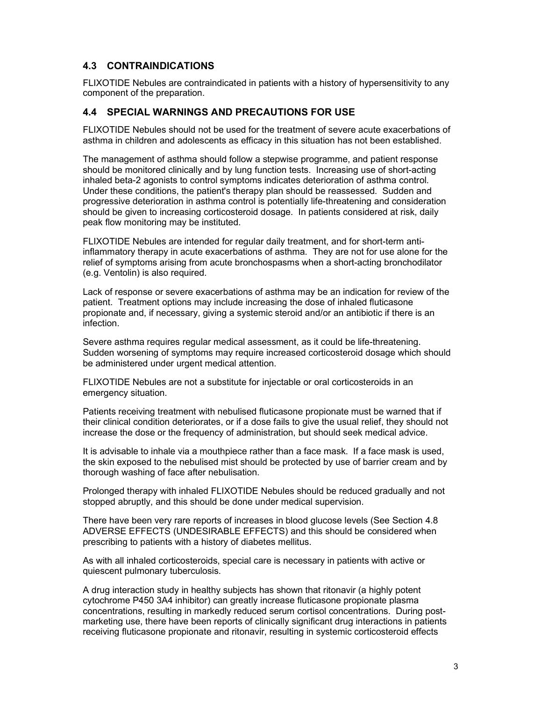## 4.3 CONTRAINDICATIONS

FLIXOTIDE Nebules are contraindicated in patients with a history of hypersensitivity to any component of the preparation.

## 4.4 SPECIAL WARNINGS AND PRECAUTIONS FOR USE

FLIXOTIDE Nebules should not be used for the treatment of severe acute exacerbations of asthma in children and adolescents as efficacy in this situation has not been established.

The management of asthma should follow a stepwise programme, and patient response should be monitored clinically and by lung function tests. Increasing use of short-acting inhaled beta-2 agonists to control symptoms indicates deterioration of asthma control. Under these conditions, the patient's therapy plan should be reassessed. Sudden and progressive deterioration in asthma control is potentially life-threatening and consideration should be given to increasing corticosteroid dosage. In patients considered at risk, daily peak flow monitoring may be instituted.

FLIXOTIDE Nebules are intended for regular daily treatment, and for short-term antiinflammatory therapy in acute exacerbations of asthma. They are not for use alone for the relief of symptoms arising from acute bronchospasms when a short-acting bronchodilator (e.g. Ventolin) is also required.

Lack of response or severe exacerbations of asthma may be an indication for review of the patient. Treatment options may include increasing the dose of inhaled fluticasone propionate and, if necessary, giving a systemic steroid and/or an antibiotic if there is an infection.

Severe asthma requires regular medical assessment, as it could be life-threatening. Sudden worsening of symptoms may require increased corticosteroid dosage which should be administered under urgent medical attention.

FLIXOTIDE Nebules are not a substitute for injectable or oral corticosteroids in an emergency situation.

Patients receiving treatment with nebulised fluticasone propionate must be warned that if their clinical condition deteriorates, or if a dose fails to give the usual relief, they should not increase the dose or the frequency of administration, but should seek medical advice.

It is advisable to inhale via a mouthpiece rather than a face mask. If a face mask is used, the skin exposed to the nebulised mist should be protected by use of barrier cream and by thorough washing of face after nebulisation.

Prolonged therapy with inhaled FLIXOTIDE Nebules should be reduced gradually and not stopped abruptly, and this should be done under medical supervision.

There have been very rare reports of increases in blood glucose levels (See Section 4.8 ADVERSE EFFECTS (UNDESIRABLE EFFECTS) and this should be considered when prescribing to patients with a history of diabetes mellitus.

As with all inhaled corticosteroids, special care is necessary in patients with active or quiescent pulmonary tuberculosis.

A drug interaction study in healthy subjects has shown that ritonavir (a highly potent cytochrome P450 3A4 inhibitor) can greatly increase fluticasone propionate plasma concentrations, resulting in markedly reduced serum cortisol concentrations. During postmarketing use, there have been reports of clinically significant drug interactions in patients receiving fluticasone propionate and ritonavir, resulting in systemic corticosteroid effects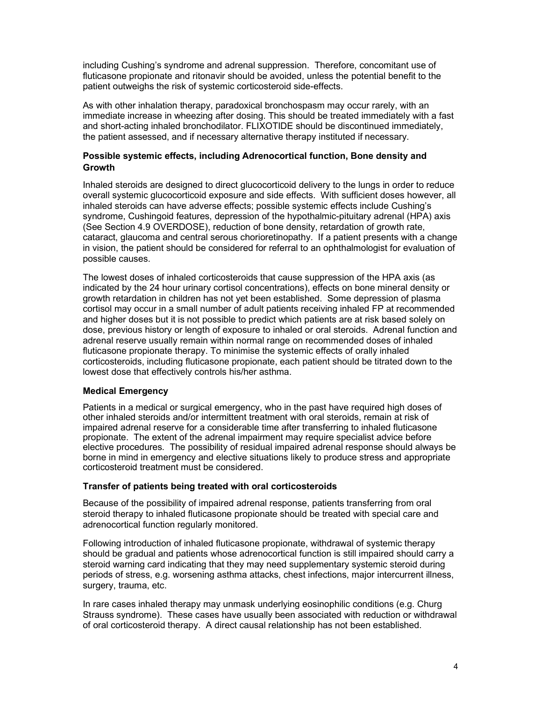including Cushing's syndrome and adrenal suppression. Therefore, concomitant use of fluticasone propionate and ritonavir should be avoided, unless the potential benefit to the patient outweighs the risk of systemic corticosteroid side-effects.

As with other inhalation therapy, paradoxical bronchospasm may occur rarely, with an immediate increase in wheezing after dosing. This should be treated immediately with a fast and short-acting inhaled bronchodilator. FLIXOTIDE should be discontinued immediately, the patient assessed, and if necessary alternative therapy instituted if necessary.

### Possible systemic effects, including Adrenocortical function, Bone density and **Growth**

Inhaled steroids are designed to direct glucocorticoid delivery to the lungs in order to reduce overall systemic glucocorticoid exposure and side effects. With sufficient doses however, all inhaled steroids can have adverse effects; possible systemic effects include Cushing's syndrome, Cushingoid features, depression of the hypothalmic-pituitary adrenal (HPA) axis (See Section 4.9 OVERDOSE), reduction of bone density, retardation of growth rate, cataract, glaucoma and central serous chorioretinopathy. If a patient presents with a change in vision, the patient should be considered for referral to an ophthalmologist for evaluation of possible causes.

The lowest doses of inhaled corticosteroids that cause suppression of the HPA axis (as indicated by the 24 hour urinary cortisol concentrations), effects on bone mineral density or growth retardation in children has not yet been established. Some depression of plasma cortisol may occur in a small number of adult patients receiving inhaled FP at recommended and higher doses but it is not possible to predict which patients are at risk based solely on dose, previous history or length of exposure to inhaled or oral steroids. Adrenal function and adrenal reserve usually remain within normal range on recommended doses of inhaled fluticasone propionate therapy. To minimise the systemic effects of orally inhaled corticosteroids, including fluticasone propionate, each patient should be titrated down to the lowest dose that effectively controls his/her asthma.

### Medical Emergency

Patients in a medical or surgical emergency, who in the past have required high doses of other inhaled steroids and/or intermittent treatment with oral steroids, remain at risk of impaired adrenal reserve for a considerable time after transferring to inhaled fluticasone propionate. The extent of the adrenal impairment may require specialist advice before elective procedures. The possibility of residual impaired adrenal response should always be borne in mind in emergency and elective situations likely to produce stress and appropriate corticosteroid treatment must be considered.

#### Transfer of patients being treated with oral corticosteroids

Because of the possibility of impaired adrenal response, patients transferring from oral steroid therapy to inhaled fluticasone propionate should be treated with special care and adrenocortical function regularly monitored.

Following introduction of inhaled fluticasone propionate, withdrawal of systemic therapy should be gradual and patients whose adrenocortical function is still impaired should carry a steroid warning card indicating that they may need supplementary systemic steroid during periods of stress, e.g. worsening asthma attacks, chest infections, major intercurrent illness, surgery, trauma, etc.

In rare cases inhaled therapy may unmask underlying eosinophilic conditions (e.g. Churg Strauss syndrome). These cases have usually been associated with reduction or withdrawal of oral corticosteroid therapy. A direct causal relationship has not been established.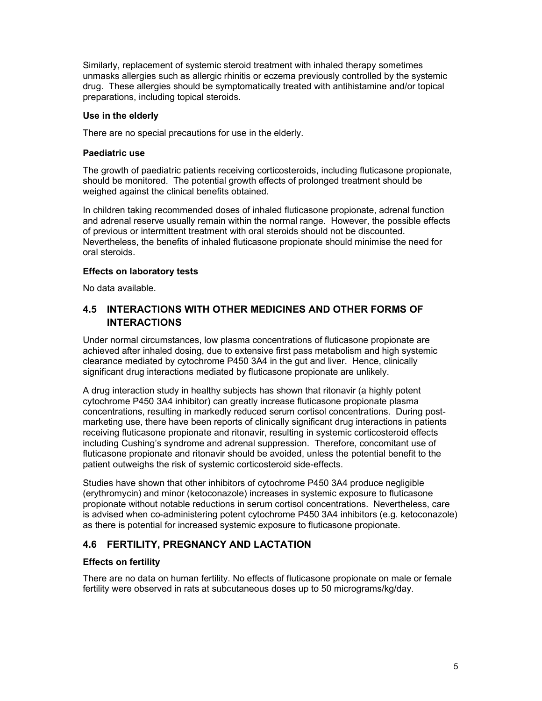Similarly, replacement of systemic steroid treatment with inhaled therapy sometimes unmasks allergies such as allergic rhinitis or eczema previously controlled by the systemic drug. These allergies should be symptomatically treated with antihistamine and/or topical preparations, including topical steroids.

#### Use in the elderly

There are no special precautions for use in the elderly.

#### Paediatric use

The growth of paediatric patients receiving corticosteroids, including fluticasone propionate, should be monitored. The potential growth effects of prolonged treatment should be weighed against the clinical benefits obtained.

In children taking recommended doses of inhaled fluticasone propionate, adrenal function and adrenal reserve usually remain within the normal range. However, the possible effects of previous or intermittent treatment with oral steroids should not be discounted. Nevertheless, the benefits of inhaled fluticasone propionate should minimise the need for oral steroids.

#### Effects on laboratory tests

No data available.

## 4.5 INTERACTIONS WITH OTHER MEDICINES AND OTHER FORMS OF **INTERACTIONS**

Under normal circumstances, low plasma concentrations of fluticasone propionate are achieved after inhaled dosing, due to extensive first pass metabolism and high systemic clearance mediated by cytochrome P450 3A4 in the gut and liver. Hence, clinically significant drug interactions mediated by fluticasone propionate are unlikely.

A drug interaction study in healthy subjects has shown that ritonavir (a highly potent cytochrome P450 3A4 inhibitor) can greatly increase fluticasone propionate plasma concentrations, resulting in markedly reduced serum cortisol concentrations. During postmarketing use, there have been reports of clinically significant drug interactions in patients receiving fluticasone propionate and ritonavir, resulting in systemic corticosteroid effects including Cushing's syndrome and adrenal suppression. Therefore, concomitant use of fluticasone propionate and ritonavir should be avoided, unless the potential benefit to the patient outweighs the risk of systemic corticosteroid side-effects.

Studies have shown that other inhibitors of cytochrome P450 3A4 produce negligible (erythromycin) and minor (ketoconazole) increases in systemic exposure to fluticasone propionate without notable reductions in serum cortisol concentrations. Nevertheless, care is advised when co-administering potent cytochrome P450 3A4 inhibitors (e.g. ketoconazole) as there is potential for increased systemic exposure to fluticasone propionate.

## 4.6 FERTILITY, PREGNANCY AND LACTATION

### Effects on fertility

There are no data on human fertility. No effects of fluticasone propionate on male or female fertility were observed in rats at subcutaneous doses up to 50 micrograms/kg/day.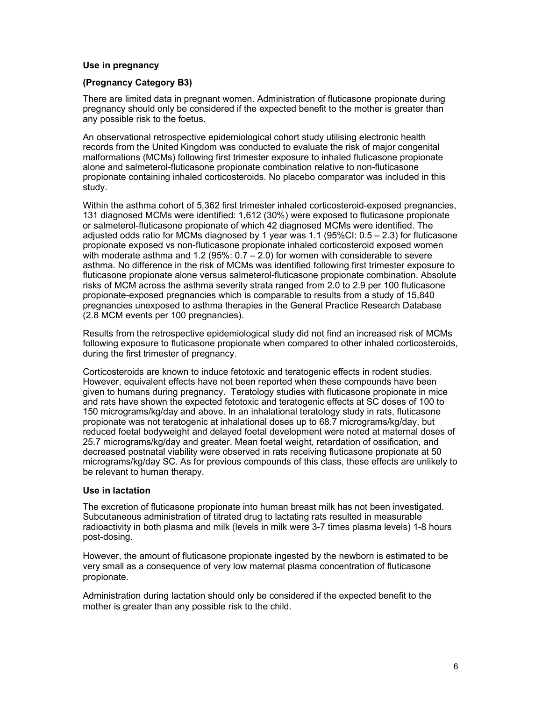#### Use in pregnancy

#### (Pregnancy Category B3)

There are limited data in pregnant women. Administration of fluticasone propionate during pregnancy should only be considered if the expected benefit to the mother is greater than any possible risk to the foetus.

An observational retrospective epidemiological cohort study utilising electronic health records from the United Kingdom was conducted to evaluate the risk of major congenital malformations (MCMs) following first trimester exposure to inhaled fluticasone propionate alone and salmeterol-fluticasone propionate combination relative to non-fluticasone propionate containing inhaled corticosteroids. No placebo comparator was included in this study.

Within the asthma cohort of 5,362 first trimester inhaled corticosteroid-exposed pregnancies, 131 diagnosed MCMs were identified: 1,612 (30%) were exposed to fluticasone propionate or salmeterol-fluticasone propionate of which 42 diagnosed MCMs were identified. The adjusted odds ratio for MCMs diagnosed by 1 year was 1.1 (95%CI: 0.5 – 2.3) for fluticasone propionate exposed vs non-fluticasone propionate inhaled corticosteroid exposed women with moderate asthma and 1.2 (95%: 0.7 – 2.0) for women with considerable to severe asthma. No difference in the risk of MCMs was identified following first trimester exposure to fluticasone propionate alone versus salmeterol-fluticasone propionate combination. Absolute risks of MCM across the asthma severity strata ranged from 2.0 to 2.9 per 100 fluticasone propionate-exposed pregnancies which is comparable to results from a study of 15,840 pregnancies unexposed to asthma therapies in the General Practice Research Database (2.8 MCM events per 100 pregnancies).

Results from the retrospective epidemiological study did not find an increased risk of MCMs following exposure to fluticasone propionate when compared to other inhaled corticosteroids, during the first trimester of pregnancy.

Corticosteroids are known to induce fetotoxic and teratogenic effects in rodent studies. However, equivalent effects have not been reported when these compounds have been given to humans during pregnancy. Teratology studies with fluticasone propionate in mice and rats have shown the expected fetotoxic and teratogenic effects at SC doses of 100 to 150 micrograms/kg/day and above. In an inhalational teratology study in rats, fluticasone propionate was not teratogenic at inhalational doses up to 68.7 micrograms/kg/day, but reduced foetal bodyweight and delayed foetal development were noted at maternal doses of 25.7 micrograms/kg/day and greater. Mean foetal weight, retardation of ossification, and decreased postnatal viability were observed in rats receiving fluticasone propionate at 50 micrograms/kg/day SC. As for previous compounds of this class, these effects are unlikely to be relevant to human therapy.

#### Use in lactation

The excretion of fluticasone propionate into human breast milk has not been investigated. Subcutaneous administration of titrated drug to lactating rats resulted in measurable radioactivity in both plasma and milk (levels in milk were 3-7 times plasma levels) 1-8 hours post-dosing.

However, the amount of fluticasone propionate ingested by the newborn is estimated to be very small as a consequence of very low maternal plasma concentration of fluticasone propionate.

Administration during lactation should only be considered if the expected benefit to the mother is greater than any possible risk to the child.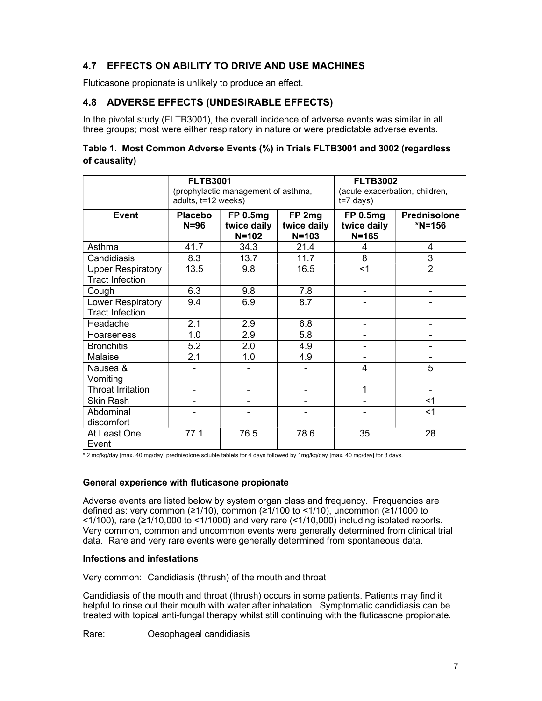## 4.7 EFFECTS ON ABILITY TO DRIVE AND USE MACHINES

Fluticasone propionate is unlikely to produce an effect.

## 4.8 ADVERSE EFFECTS (UNDESIRABLE EFFECTS)

In the pivotal study (FLTB3001), the overall incidence of adverse events was similar in all three groups; most were either respiratory in nature or were predictable adverse events.

### Table 1. Most Common Adverse Events (%) in Trials FLTB3001 and 3002 (regardless of causality)

|                                                    | <b>FLTB3001</b><br>(prophylactic management of asthma,<br>adults, t=12 weeks) |                                      |                                    | <b>FLTB3002</b><br>(acute exacerbation, children,<br>$t=7$ days) |                               |
|----------------------------------------------------|-------------------------------------------------------------------------------|--------------------------------------|------------------------------------|------------------------------------------------------------------|-------------------------------|
| <b>Event</b>                                       | <b>Placebo</b><br>$N = 96$                                                    | FP 0.5mg<br>twice daily<br>$N = 102$ | FP 2mg<br>twice daily<br>$N = 103$ | <b>FP 0.5mg</b><br>twice daily<br>$N = 165$                      | <b>Prednisolone</b><br>*N=156 |
| Asthma                                             | 41.7                                                                          | 34.3                                 | 21.4                               | 4                                                                | 4                             |
| Candidiasis                                        | 8.3                                                                           | 13.7                                 | 11.7                               | 8                                                                | 3                             |
| <b>Upper Respiratory</b><br><b>Tract Infection</b> | 13.5                                                                          | 9.8                                  | 16.5                               | $<$ 1                                                            | $\overline{2}$                |
| Cough                                              | 6.3                                                                           | 9.8                                  | 7.8                                |                                                                  |                               |
| Lower Respiratory<br><b>Tract Infection</b>        | 9.4                                                                           | 6.9                                  | 8.7                                |                                                                  |                               |
| Headache                                           | 2.1                                                                           | 2.9                                  | 6.8                                |                                                                  |                               |
| <b>Hoarseness</b>                                  | 1.0                                                                           | 2.9                                  | 5.8                                |                                                                  |                               |
| <b>Bronchitis</b>                                  | 5.2                                                                           | 2.0                                  | 4.9                                |                                                                  |                               |
| Malaise                                            | 2.1                                                                           | 1.0                                  | 4.9                                |                                                                  |                               |
| Nausea &<br>Vomiting                               |                                                                               |                                      |                                    | 4                                                                | 5                             |
| <b>Throat Irritation</b>                           |                                                                               | -                                    |                                    | 1                                                                |                               |
| Skin Rash                                          |                                                                               |                                      |                                    |                                                                  | <1                            |
| Abdominal<br>discomfort                            |                                                                               |                                      |                                    |                                                                  | $<$ 1                         |
| At Least One<br>Event                              | 77.1                                                                          | 76.5                                 | 78.6                               | 35                                                               | 28                            |

\* 2 mg/kg/day [max. 40 mg/day] prednisolone soluble tablets for 4 days followed by 1mg/kg/day [max. 40 mg/day] for 3 days.

### General experience with fluticasone propionate

Adverse events are listed below by system organ class and frequency. Frequencies are defined as: very common (≥1/10), common (≥1/100 to <1/10), uncommon (≥1/1000 to  $(1/100)$ , rare ( $\geq 1/10,000$  to  $(1/1000)$  and very rare ( $(1/10,000)$ ) including isolated reports. Very common, common and uncommon events were generally determined from clinical trial data. Rare and very rare events were generally determined from spontaneous data.

### Infections and infestations

Very common: Candidiasis (thrush) of the mouth and throat

Candidiasis of the mouth and throat (thrush) occurs in some patients. Patients may find it helpful to rinse out their mouth with water after inhalation. Symptomatic candidiasis can be treated with topical anti-fungal therapy whilst still continuing with the fluticasone propionate.

Rare: Oesophageal candidiasis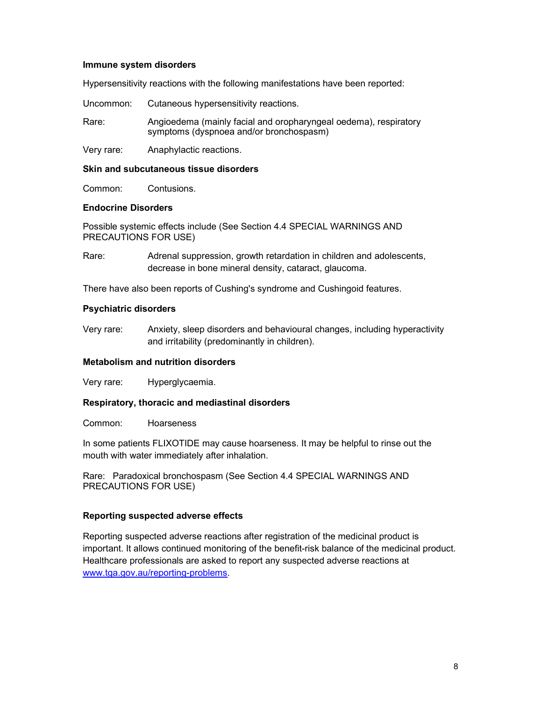#### Immune system disorders

Hypersensitivity reactions with the following manifestations have been reported:

Uncommon: Cutaneous hypersensitivity reactions.

Rare: Angioedema (mainly facial and oropharyngeal oedema), respiratory symptoms (dyspnoea and/or bronchospasm)

Very rare: Anaphylactic reactions.

#### Skin and subcutaneous tissue disorders

Common: Contusions.

#### Endocrine Disorders

Possible systemic effects include (See Section 4.4 SPECIAL WARNINGS AND PRECAUTIONS FOR USE)

Rare: Adrenal suppression, growth retardation in children and adolescents, decrease in bone mineral density, cataract, glaucoma.

There have also been reports of Cushing's syndrome and Cushingoid features.

### Psychiatric disorders

Very rare: Anxiety, sleep disorders and behavioural changes, including hyperactivity and irritability (predominantly in children).

### Metabolism and nutrition disorders

Very rare: Hyperglycaemia.

### Respiratory, thoracic and mediastinal disorders

Common: Hoarseness

In some patients FLIXOTIDE may cause hoarseness. It may be helpful to rinse out the mouth with water immediately after inhalation.

Rare: Paradoxical bronchospasm (See Section 4.4 SPECIAL WARNINGS AND PRECAUTIONS FOR USE)

### Reporting suspected adverse effects

Reporting suspected adverse reactions after registration of the medicinal product is important. It allows continued monitoring of the benefit-risk balance of the medicinal product. Healthcare professionals are asked to report any suspected adverse reactions at www.tga.gov.au/reporting-problems.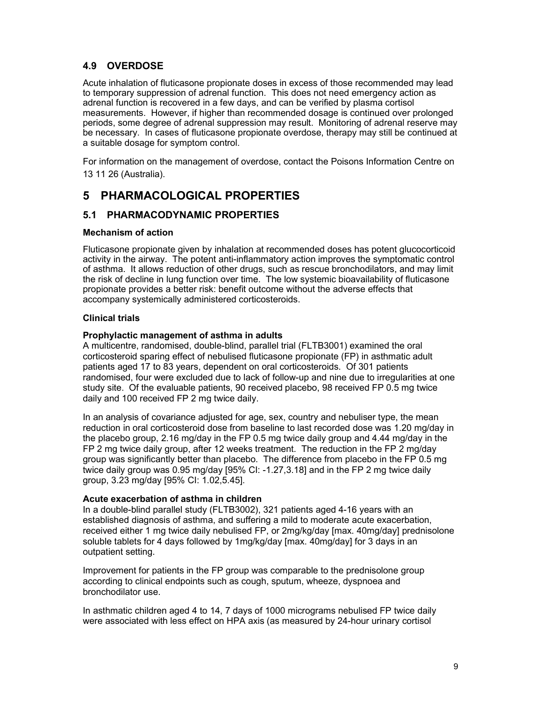## 4.9 OVERDOSE

Acute inhalation of fluticasone propionate doses in excess of those recommended may lead to temporary suppression of adrenal function. This does not need emergency action as adrenal function is recovered in a few days, and can be verified by plasma cortisol measurements. However, if higher than recommended dosage is continued over prolonged periods, some degree of adrenal suppression may result. Monitoring of adrenal reserve may be necessary. In cases of fluticasone propionate overdose, therapy may still be continued at a suitable dosage for symptom control.

For information on the management of overdose, contact the Poisons Information Centre on 13 11 26 (Australia).

# 5 PHARMACOLOGICAL PROPERTIES

## 5.1 PHARMACODYNAMIC PROPERTIES

### Mechanism of action

Fluticasone propionate given by inhalation at recommended doses has potent glucocorticoid activity in the airway. The potent anti-inflammatory action improves the symptomatic control of asthma. It allows reduction of other drugs, such as rescue bronchodilators, and may limit the risk of decline in lung function over time. The low systemic bioavailability of fluticasone propionate provides a better risk: benefit outcome without the adverse effects that accompany systemically administered corticosteroids.

### Clinical trials

### Prophylactic management of asthma in adults

A multicentre, randomised, double-blind, parallel trial (FLTB3001) examined the oral corticosteroid sparing effect of nebulised fluticasone propionate (FP) in asthmatic adult patients aged 17 to 83 years, dependent on oral corticosteroids. Of 301 patients randomised, four were excluded due to lack of follow-up and nine due to irregularities at one study site. Of the evaluable patients, 90 received placebo, 98 received FP 0.5 mg twice daily and 100 received FP 2 mg twice daily.

In an analysis of covariance adjusted for age, sex, country and nebuliser type, the mean reduction in oral corticosteroid dose from baseline to last recorded dose was 1.20 mg/day in the placebo group, 2.16 mg/day in the FP 0.5 mg twice daily group and 4.44 mg/day in the FP 2 mg twice daily group, after 12 weeks treatment. The reduction in the FP 2 mg/day group was significantly better than placebo. The difference from placebo in the FP 0.5 mg twice daily group was 0.95 mg/day [95% CI: -1.27,3.18] and in the FP 2 mg twice daily group, 3.23 mg/day [95% CI: 1.02,5.45].

### Acute exacerbation of asthma in children

In a double-blind parallel study (FLTB3002), 321 patients aged 4-16 years with an established diagnosis of asthma, and suffering a mild to moderate acute exacerbation, received either 1 mg twice daily nebulised FP, or 2mg/kg/day [max. 40mg/day] prednisolone soluble tablets for 4 days followed by 1mg/kg/day [max. 40mg/day] for 3 days in an outpatient setting.

Improvement for patients in the FP group was comparable to the prednisolone group according to clinical endpoints such as cough, sputum, wheeze, dyspnoea and bronchodilator use.

In asthmatic children aged 4 to 14, 7 days of 1000 micrograms nebulised FP twice daily were associated with less effect on HPA axis (as measured by 24-hour urinary cortisol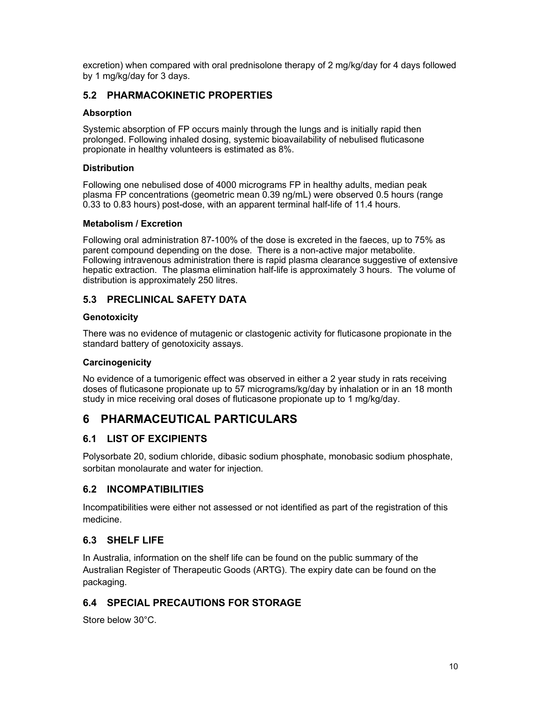excretion) when compared with oral prednisolone therapy of 2 mg/kg/day for 4 days followed by 1 mg/kg/day for 3 days.

## 5.2 PHARMACOKINETIC PROPERTIES

### Absorption

Systemic absorption of FP occurs mainly through the lungs and is initially rapid then prolonged. Following inhaled dosing, systemic bioavailability of nebulised fluticasone propionate in healthy volunteers is estimated as 8%.

### **Distribution**

Following one nebulised dose of 4000 micrograms FP in healthy adults, median peak plasma FP concentrations (geometric mean 0.39 ng/mL) were observed 0.5 hours (range 0.33 to 0.83 hours) post-dose, with an apparent terminal half-life of 11.4 hours.

### Metabolism / Excretion

Following oral administration 87-100% of the dose is excreted in the faeces, up to 75% as parent compound depending on the dose. There is a non-active major metabolite. Following intravenous administration there is rapid plasma clearance suggestive of extensive hepatic extraction. The plasma elimination half-life is approximately 3 hours. The volume of distribution is approximately 250 litres.

## 5.3 PRECLINICAL SAFETY DATA

### **Genotoxicity**

There was no evidence of mutagenic or clastogenic activity for fluticasone propionate in the standard battery of genotoxicity assays.

### **Carcinogenicity**

No evidence of a tumorigenic effect was observed in either a 2 year study in rats receiving doses of fluticasone propionate up to 57 micrograms/kg/day by inhalation or in an 18 month study in mice receiving oral doses of fluticasone propionate up to 1 mg/kg/day.

# 6 PHARMACEUTICAL PARTICULARS

## 6.1 LIST OF EXCIPIENTS

Polysorbate 20, sodium chloride, dibasic sodium phosphate, monobasic sodium phosphate, sorbitan monolaurate and water for injection.

## 6.2 INCOMPATIBILITIES

Incompatibilities were either not assessed or not identified as part of the registration of this medicine.

## 6.3 SHELF LIFE

In Australia, information on the shelf life can be found on the public summary of the Australian Register of Therapeutic Goods (ARTG). The expiry date can be found on the packaging.

## 6.4 SPECIAL PRECAUTIONS FOR STORAGE

Store below 30°C.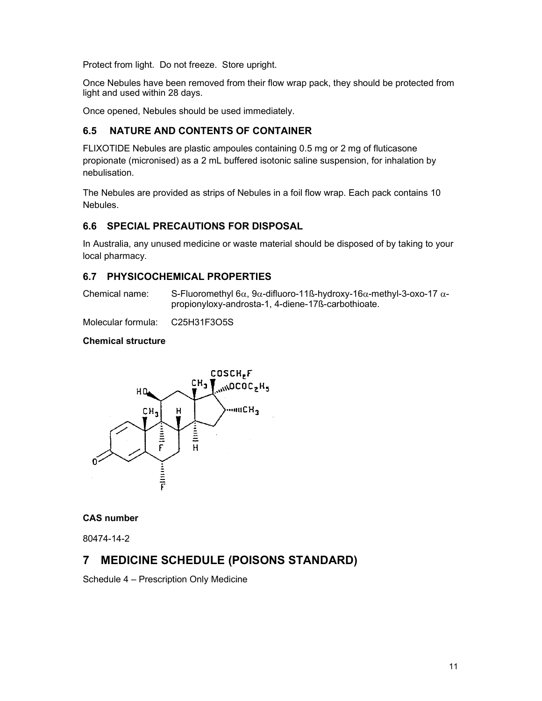Protect from light. Do not freeze. Store upright.

Once Nebules have been removed from their flow wrap pack, they should be protected from light and used within 28 days.

Once opened, Nebules should be used immediately.

## 6.5 NATURE AND CONTENTS OF CONTAINER

FLIXOTIDE Nebules are plastic ampoules containing 0.5 mg or 2 mg of fluticasone propionate (micronised) as a 2 mL buffered isotonic saline suspension, for inhalation by nebulisation.

The Nebules are provided as strips of Nebules in a foil flow wrap. Each pack contains 10 Nebules.

## 6.6 SPECIAL PRECAUTIONS FOR DISPOSAL

In Australia, any unused medicine or waste material should be disposed of by taking to your local pharmacy.

## 6.7 PHYSICOCHEMICAL PROPERTIES

Chemical name: S-Fluoromethyl 6 $\alpha$ , 9 $\alpha$ -difluoro-11ß-hydroxy-16 $\alpha$ -methyl-3-oxo-17  $\alpha$ propionyloxy-androsta-1, 4-diene-17ß-carbothioate.

Molecular formula: C25H31F3O5S

### Chemical structure



### CAS number

80474-14-2

# 7 MEDICINE SCHEDULE (POISONS STANDARD)

Schedule 4 – Prescription Only Medicine